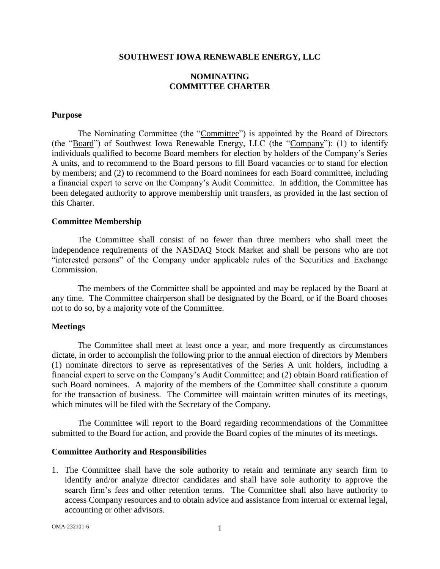#### **SOUTHWEST IOWA RENEWABLE ENERGY, LLC**

## **NOMINATING COMMITTEE CHARTER**

### **Purpose**

The Nominating Committee (the "Committee") is appointed by the Board of Directors (the "Board") of Southwest Iowa Renewable Energy, LLC (the "Company"): (1) to identify individuals qualified to become Board members for election by holders of the Company's Series A units, and to recommend to the Board persons to fill Board vacancies or to stand for election by members; and (2) to recommend to the Board nominees for each Board committee, including a financial expert to serve on the Company's Audit Committee. In addition, the Committee has been delegated authority to approve membership unit transfers, as provided in the last section of this Charter.

### **Committee Membership**

The Committee shall consist of no fewer than three members who shall meet the independence requirements of the NASDAQ Stock Market and shall be persons who are not "interested persons" of the Company under applicable rules of the Securities and Exchange Commission.

The members of the Committee shall be appointed and may be replaced by the Board at any time. The Committee chairperson shall be designated by the Board, or if the Board chooses not to do so, by a majority vote of the Committee.

### **Meetings**

The Committee shall meet at least once a year, and more frequently as circumstances dictate, in order to accomplish the following prior to the annual election of directors by Members (1) nominate directors to serve as representatives of the Series A unit holders, including a financial expert to serve on the Company's Audit Committee; and (2) obtain Board ratification of such Board nominees. A majority of the members of the Committee shall constitute a quorum for the transaction of business. The Committee will maintain written minutes of its meetings, which minutes will be filed with the Secretary of the Company.

The Committee will report to the Board regarding recommendations of the Committee submitted to the Board for action, and provide the Board copies of the minutes of its meetings.

#### **Committee Authority and Responsibilities**

1. The Committee shall have the sole authority to retain and terminate any search firm to identify and/or analyze director candidates and shall have sole authority to approve the search firm's fees and other retention terms. The Committee shall also have authority to access Company resources and to obtain advice and assistance from internal or external legal, accounting or other advisors.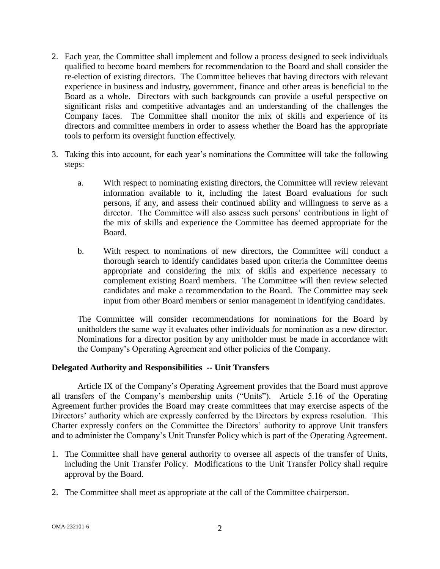- 2. Each year, the Committee shall implement and follow a process designed to seek individuals qualified to become board members for recommendation to the Board and shall consider the re-election of existing directors. The Committee believes that having directors with relevant experience in business and industry, government, finance and other areas is beneficial to the Board as a whole. Directors with such backgrounds can provide a useful perspective on significant risks and competitive advantages and an understanding of the challenges the Company faces. The Committee shall monitor the mix of skills and experience of its directors and committee members in order to assess whether the Board has the appropriate tools to perform its oversight function effectively.
- 3. Taking this into account, for each year's nominations the Committee will take the following steps:
	- a. With respect to nominating existing directors, the Committee will review relevant information available to it, including the latest Board evaluations for such persons, if any, and assess their continued ability and willingness to serve as a director. The Committee will also assess such persons' contributions in light of the mix of skills and experience the Committee has deemed appropriate for the Board.
	- b. With respect to nominations of new directors, the Committee will conduct a thorough search to identify candidates based upon criteria the Committee deems appropriate and considering the mix of skills and experience necessary to complement existing Board members. The Committee will then review selected candidates and make a recommendation to the Board. The Committee may seek input from other Board members or senior management in identifying candidates.

The Committee will consider recommendations for nominations for the Board by unitholders the same way it evaluates other individuals for nomination as a new director. Nominations for a director position by any unitholder must be made in accordance with the Company's Operating Agreement and other policies of the Company.

# **Delegated Authority and Responsibilities -- Unit Transfers**

Article IX of the Company's Operating Agreement provides that the Board must approve all transfers of the Company's membership units ("Units"). Article 5.16 of the Operating Agreement further provides the Board may create committees that may exercise aspects of the Directors' authority which are expressly conferred by the Directors by express resolution. This Charter expressly confers on the Committee the Directors' authority to approve Unit transfers and to administer the Company's Unit Transfer Policy which is part of the Operating Agreement.

- 1. The Committee shall have general authority to oversee all aspects of the transfer of Units, including the Unit Transfer Policy. Modifications to the Unit Transfer Policy shall require approval by the Board.
- 2. The Committee shall meet as appropriate at the call of the Committee chairperson.